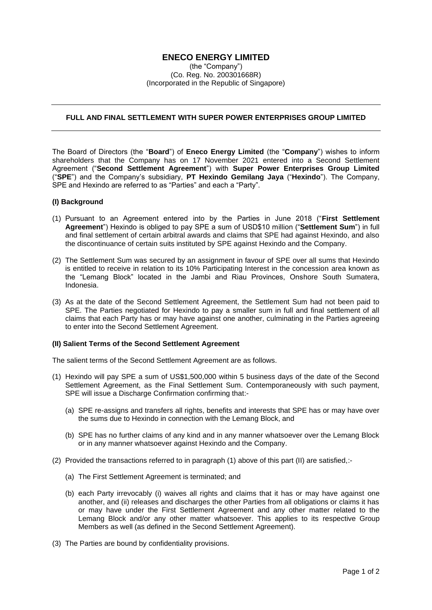## **ENECO ENERGY LIMITED**

(the "Company") (Co. Reg. No. 200301668R) (Incorporated in the Republic of Singapore)

## **FULL AND FINAL SETTLEMENT WITH SUPER POWER ENTERPRISES GROUP LIMITED**

The Board of Directors (the "**Board**") of **Eneco Energy Limited** (the "**Company**") wishes to inform shareholders that the Company has on 17 November 2021 entered into a Second Settlement Agreement ("**Second Settlement Agreement**") with **Super Power Enterprises Group Limited** ("**SPE**") and the Company's subsidiary, **PT Hexindo Gemilang Jaya** ("**Hexindo**"). The Company, SPE and Hexindo are referred to as "Parties" and each a "Party".

## **(I) Background**

- (1) Pursuant to an Agreement entered into by the Parties in June 2018 ("**First Settlement Agreement**") Hexindo is obliged to pay SPE a sum of USD\$10 million ("**Settlement Sum**") in full and final settlement of certain arbitral awards and claims that SPE had against Hexindo, and also the discontinuance of certain suits instituted by SPE against Hexindo and the Company.
- (2) The Settlement Sum was secured by an assignment in favour of SPE over all sums that Hexindo is entitled to receive in relation to its 10% Participating Interest in the concession area known as the "Lemang Block" located in the Jambi and Riau Provinces, Onshore South Sumatera, Indonesia.
- (3) As at the date of the Second Settlement Agreement, the Settlement Sum had not been paid to SPE. The Parties negotiated for Hexindo to pay a smaller sum in full and final settlement of all claims that each Party has or may have against one another, culminating in the Parties agreeing to enter into the Second Settlement Agreement.

## **(II) Salient Terms of the Second Settlement Agreement**

The salient terms of the Second Settlement Agreement are as follows.

- (1) Hexindo will pay SPE a sum of US\$1,500,000 within 5 business days of the date of the Second Settlement Agreement, as the Final Settlement Sum. Contemporaneously with such payment, SPE will issue a Discharge Confirmation confirming that:-
	- (a) SPE re-assigns and transfers all rights, benefits and interests that SPE has or may have over the sums due to Hexindo in connection with the Lemang Block, and
	- (b) SPE has no further claims of any kind and in any manner whatsoever over the Lemang Block or in any manner whatsoever against Hexindo and the Company.
- (2) Provided the transactions referred to in paragraph (1) above of this part (II) are satisfied,:-
	- (a) The First Settlement Agreement is terminated; and
	- (b) each Party irrevocably (i) waives all rights and claims that it has or may have against one another, and (ii) releases and discharges the other Parties from all obligations or claims it has or may have under the First Settlement Agreement and any other matter related to the Lemang Block and/or any other matter whatsoever. This applies to its respective Group Members as well (as defined in the Second Settlement Agreement).
- (3) The Parties are bound by confidentiality provisions.